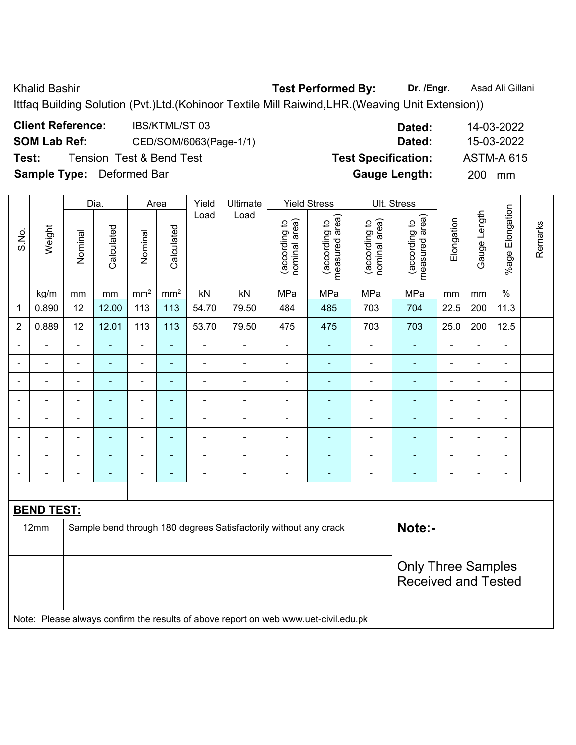Khalid Bashir **Test Performed By:** Dr. /Engr. **Asad Ali Gillani** Charles By: Dr. /Engr. **Asad Ali Gillani** 

Ittfaq Building Solution (Pvt.)Ltd.(Kohinoor Textile Mill Raiwind,LHR.(Weaving Unit Extension))

| <b>Client Reference:</b>         | <b>IBS/KTML/ST03</b>     | Dated:                     | 14-03-2022        |
|----------------------------------|--------------------------|----------------------------|-------------------|
| <b>SOM Lab Ref:</b>              | CED/SOM/6063(Page-1/1)   | Dated:                     | 15-03-2022        |
| Test:                            | Tension Test & Bend Test | <b>Test Specification:</b> | <b>ASTM-A 615</b> |
| <b>Sample Type:</b> Deformed Bar |                          | <b>Gauge Length:</b>       | 200<br>mm         |

|                |                              |                | Dia.                     |                              | Area           | Yield                    | Ultimate                                                         |                                | <b>Yield Stress</b>             |                                | Ult. Stress                     |                              |                |                          |         |
|----------------|------------------------------|----------------|--------------------------|------------------------------|----------------|--------------------------|------------------------------------------------------------------|--------------------------------|---------------------------------|--------------------------------|---------------------------------|------------------------------|----------------|--------------------------|---------|
| S.No.          | Weight                       | Nominal        | Calculated               | Nominal                      | Calculated     | Load                     | Load                                                             | (according to<br>nominal area) | measured area)<br>(according to | nominal area)<br>(according to | measured area)<br>(according to | Elongation                   | Gauge Length   | %age Elongation          | Remarks |
|                | kg/m                         | mm             | mm                       | mm <sup>2</sup>              | $\text{mm}^2$  | kN                       | kN                                                               | MPa                            | MPa                             | MPa                            | MPa                             | mm                           | mm             | $\%$                     |         |
| 1              | 0.890                        | 12             | 12.00                    | 113                          | 113            | 54.70                    | 79.50                                                            | 484                            | 485                             | 703                            | 704                             | 22.5                         | 200            | 11.3                     |         |
| $\overline{2}$ | 0.889                        | 12             | 12.01                    | 113                          | 113            | 53.70                    | 79.50                                                            | 475                            | 475                             | 703                            | 703                             | 25.0                         | 200            | 12.5                     |         |
|                | ÷.                           | $\blacksquare$ | ÷,                       | $\overline{\phantom{a}}$     | $\blacksquare$ | ÷,                       | ä,                                                               | ä,                             | $\blacksquare$                  | ä,                             | ä,                              | $\blacksquare$               | L,             | $\blacksquare$           |         |
|                | $\overline{a}$               |                | $\blacksquare$           | $\blacksquare$               | ٠              | ۰                        | $\blacksquare$                                                   |                                | ۰                               | $\blacksquare$                 | $\blacksquare$                  |                              | L,             | $\blacksquare$           |         |
| $\blacksquare$ | ۰                            | $\blacksquare$ | $\blacksquare$           | ٠                            | ٠              | $\overline{\phantom{0}}$ | $\qquad \qquad \blacksquare$                                     | $\blacksquare$                 | $\overline{\phantom{0}}$        | $\blacksquare$                 | $\blacksquare$                  | $\overline{\phantom{0}}$     | ä,             | $\blacksquare$           |         |
| $\blacksquare$ | ۰                            | $\blacksquare$ | $\overline{\phantom{a}}$ | $\qquad \qquad \blacksquare$ | $\blacksquare$ | $\overline{a}$           | $\qquad \qquad \blacksquare$                                     | $\overline{a}$                 | ۰                               | $\overline{a}$                 | $\blacksquare$                  | $\blacksquare$               | $\blacksquare$ | $\overline{\phantom{a}}$ |         |
|                | $\blacksquare$               |                |                          | ÷,                           | $\blacksquare$ | $\blacksquare$           | $\blacksquare$                                                   | $\blacksquare$                 | $\blacksquare$                  | ÷                              | $\blacksquare$                  |                              | ä,             | $\blacksquare$           |         |
|                |                              |                |                          | $\blacksquare$               | ۳              |                          |                                                                  |                                |                                 |                                |                                 |                              | ÷              |                          |         |
| $\blacksquare$ | $\qquad \qquad \blacksquare$ | $\blacksquare$ | $\overline{\phantom{0}}$ | $\qquad \qquad \blacksquare$ | ٠              | $\overline{\phantom{0}}$ | $\qquad \qquad \blacksquare$                                     | $\blacksquare$                 | $\overline{\phantom{0}}$        | $\blacksquare$                 | Ē.                              | $\qquad \qquad \blacksquare$ | $\blacksquare$ | $\overline{\phantom{0}}$ |         |
| $\blacksquare$ | $\qquad \qquad \blacksquare$ |                |                          | ۰                            | ٠              | $\overline{\phantom{0}}$ | $\qquad \qquad \blacksquare$                                     | $\overline{a}$                 | $\overline{\phantom{0}}$        | $\overline{a}$                 | $\blacksquare$                  | $\qquad \qquad \blacksquare$ | -              | $\overline{\phantom{a}}$ |         |
|                |                              |                |                          |                              |                |                          |                                                                  |                                |                                 |                                |                                 |                              |                |                          |         |
|                | <b>BEND TEST:</b>            |                |                          |                              |                |                          |                                                                  |                                |                                 |                                |                                 |                              |                |                          |         |
|                | 12mm                         |                |                          |                              |                |                          | Sample bend through 180 degrees Satisfactorily without any crack |                                |                                 |                                | Note:-                          |                              |                |                          |         |
|                |                              |                |                          |                              |                |                          |                                                                  |                                |                                 |                                |                                 |                              |                |                          |         |
|                |                              |                |                          |                              |                |                          |                                                                  |                                |                                 |                                | <b>Only Three Samples</b>       |                              |                |                          |         |
|                |                              |                |                          |                              |                |                          |                                                                  |                                |                                 |                                | <b>Received and Tested</b>      |                              |                |                          |         |
|                |                              |                |                          |                              |                |                          |                                                                  |                                |                                 |                                |                                 |                              |                |                          |         |

Note: Please always confirm the results of above report on web www.uet-civil.edu.pk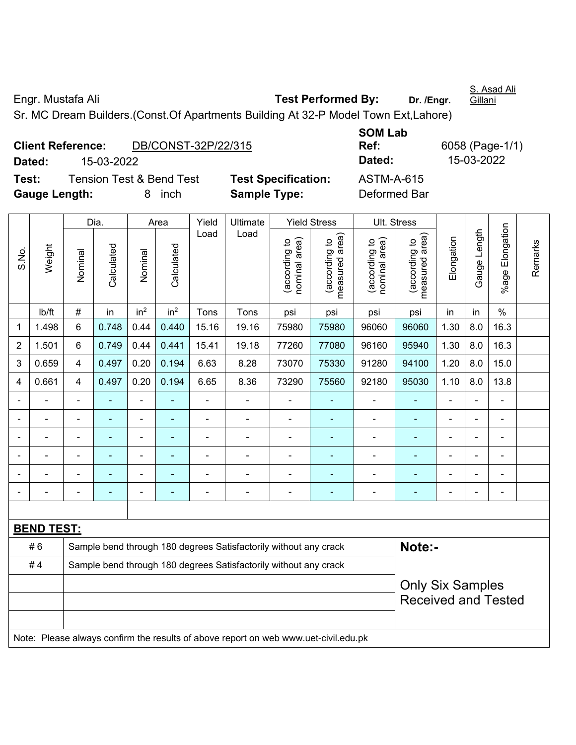Engr. Mustafa Ali **Test Performed By: Dr. /Engr.** 

S. Asad Ali Gillani

Sr. MC Dream Builders.(Const.Of Apartments Building At 32-P Model Town Ext,Lahore)

|                      | <b>Client Reference:</b> | DB/CONST-32P/22/315                 |                |
|----------------------|--------------------------|-------------------------------------|----------------|
| Dated:               | 15-03-2022               |                                     |                |
| Test:                |                          | <b>Tension Test &amp; Bend Test</b> | <b>Test Sp</b> |
| <b>Gauge Length:</b> |                          | 8 inch                              | <b>Sample</b>  |

**SOM Lab Ref:** 6058 (Page-1/1) **Dated:** 15-03-2022 **Dated:** 15-03-2022 **Tecification:** ASTM-A-615 **Type:** Deformed Bar

|                |                                                                                     |                                                                  | Dia.       |                 | Area            | Yield          | Ultimate                                                         |                                | <b>Yield Stress</b>             |                                | Ult. Stress                     |                |                |                 |         |
|----------------|-------------------------------------------------------------------------------------|------------------------------------------------------------------|------------|-----------------|-----------------|----------------|------------------------------------------------------------------|--------------------------------|---------------------------------|--------------------------------|---------------------------------|----------------|----------------|-----------------|---------|
| S.No.          | Weight                                                                              | Nominal                                                          | Calculated | Nominal         | Calculated      | Load           | Load                                                             | nominal area)<br>(according to | measured area)<br>(according to | nominal area)<br>(according to | (according to<br>measured area) | Elongation     | Gauge Length   | %age Elongation | Remarks |
|                | lb/ft                                                                               | $\#$                                                             | in         | in <sup>2</sup> | in <sup>2</sup> | Tons           | Tons                                                             | psi                            | psi                             | psi                            | psi                             | in             | in             | $\%$            |         |
| 1              | 1.498                                                                               | 6                                                                | 0.748      | 0.44            | 0.440           | 15.16          | 19.16                                                            | 75980                          | 75980                           | 96060                          | 96060                           | 1.30           | 8.0            | 16.3            |         |
| $\overline{2}$ | 1.501                                                                               | 6                                                                | 0.749      | 0.44            | 0.441           | 15.41          | 19.18                                                            | 77260                          | 77080                           | 96160                          | 95940                           | 1.30           | 8.0            | 16.3            |         |
| 3              | 0.659                                                                               | 4                                                                | 0.497      | 0.20            | 0.194           | 6.63           | 8.28                                                             | 73070                          | 75330                           | 91280                          | 94100                           | 1.20           | 8.0            | 15.0            |         |
| 4              | 0.661                                                                               | 4                                                                | 0.497      | 0.20            | 0.194           | 6.65           | 8.36                                                             | 73290                          | 75560                           | 92180                          | 95030                           | 1.10           | 8.0            | 13.8            |         |
|                |                                                                                     | $\blacksquare$                                                   | ä,         | ÷,              |                 | $\blacksquare$ | ä,                                                               | $\blacksquare$                 |                                 | ÷,                             | $\blacksquare$                  | L.             | $\blacksquare$ | $\blacksquare$  |         |
|                |                                                                                     |                                                                  | ۰          | $\blacksquare$  |                 |                | Ē,                                                               | $\blacksquare$                 |                                 | $\overline{a}$                 | $\blacksquare$                  |                |                | Ē,              |         |
|                |                                                                                     |                                                                  | ۰          | $\blacksquare$  |                 |                | ÷                                                                | $\blacksquare$                 |                                 | $\blacksquare$                 | $\blacksquare$                  | $\blacksquare$ |                |                 |         |
|                |                                                                                     |                                                                  |            |                 |                 |                |                                                                  |                                |                                 |                                |                                 |                |                |                 |         |
|                | $\overline{a}$                                                                      |                                                                  |            | $\blacksquare$  |                 |                |                                                                  | $\blacksquare$                 |                                 | $\blacksquare$                 | $\blacksquare$                  |                |                | $\blacksquare$  |         |
| $\blacksquare$ | ÷                                                                                   | $\blacksquare$                                                   | ۰          | $\blacksquare$  |                 | Ē,             | Ē,                                                               | $\blacksquare$                 | ٠                               | $\overline{a}$                 | $\blacksquare$                  | $\blacksquare$ |                | $\blacksquare$  |         |
|                |                                                                                     |                                                                  |            |                 |                 |                |                                                                  |                                |                                 |                                |                                 |                |                |                 |         |
|                | <b>BEND TEST:</b>                                                                   |                                                                  |            |                 |                 |                |                                                                  |                                |                                 |                                |                                 |                |                |                 |         |
|                | #6                                                                                  |                                                                  |            |                 |                 |                | Sample bend through 180 degrees Satisfactorily without any crack |                                |                                 |                                | Note:-                          |                |                |                 |         |
|                | #4                                                                                  | Sample bend through 180 degrees Satisfactorily without any crack |            |                 |                 |                |                                                                  |                                |                                 |                                |                                 |                |                |                 |         |
|                |                                                                                     |                                                                  |            |                 |                 |                |                                                                  |                                |                                 |                                | <b>Only Six Samples</b>         |                |                |                 |         |
|                |                                                                                     |                                                                  |            |                 |                 |                |                                                                  |                                |                                 |                                | <b>Received and Tested</b>      |                |                |                 |         |
|                |                                                                                     |                                                                  |            |                 |                 |                |                                                                  |                                |                                 |                                |                                 |                |                |                 |         |
|                | Note: Please always confirm the results of above report on web www.uet-civil.edu.pk |                                                                  |            |                 |                 |                |                                                                  |                                |                                 |                                |                                 |                |                |                 |         |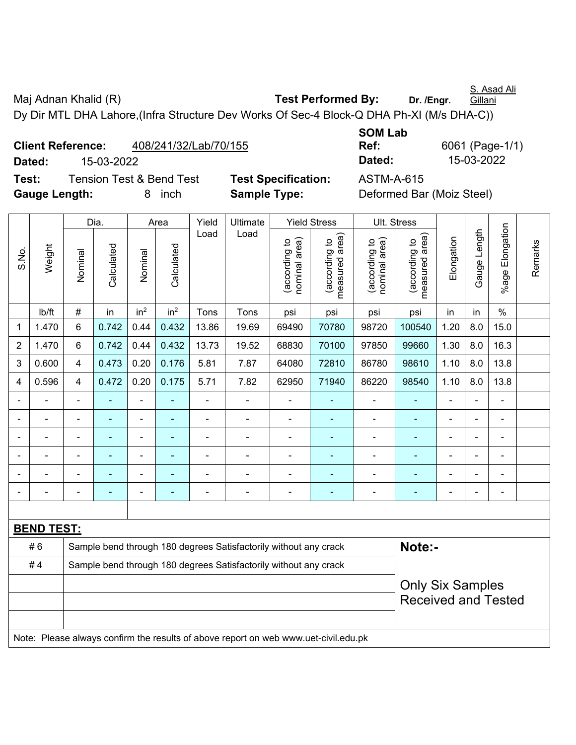S. Asad Ali **Gillani** 

Maj Adnan Khalid (R) **Test Performed By:** Dr. /Engr.

Dy Dir MTL DHA Lahore,(Infra Structure Dev Works Of Sec-4 Block-Q DHA Ph-XI (M/s DHA-C))

|               | <b>Client Reference:</b> | 408/241/32/Lab/70/155    |                            | Ref:              | 6061 (Pag                 |
|---------------|--------------------------|--------------------------|----------------------------|-------------------|---------------------------|
| Dated:        | 15-03-2022               |                          |                            | Dated:            | 15-03-20                  |
| Test:         |                          | Tension Test & Bend Test | <b>Test Specification:</b> | <b>ASTM-A-615</b> |                           |
| Gauge Length: |                          | inch                     | <b>Sample Type:</b>        |                   | Deformed Bar (Moiz Steel) |

**SOM Lab Ref:** 6061 (Page-1/1) **Dated:** 15-03-2022 **Dated:** 15-03-2022

|                |                   |                                                                  | Dia.           |                 | Area            | Yield<br>Load  | Ultimate<br>Load                                                                    |                                | <b>Yield Stress</b>             |                                | Ult. Stress                     |                              |                |                           |         |
|----------------|-------------------|------------------------------------------------------------------|----------------|-----------------|-----------------|----------------|-------------------------------------------------------------------------------------|--------------------------------|---------------------------------|--------------------------------|---------------------------------|------------------------------|----------------|---------------------------|---------|
| S.No.          | Weight            | Nominal                                                          | Calculated     | Nominal         | Calculated      |                |                                                                                     | nominal area)<br>(according to | measured area)<br>(according to | nominal area)<br>(according to | (according to<br>measured area) | Elongation                   | Gauge Length   | Elongation<br>$%$ age $I$ | Remarks |
|                | lb/ft             | #                                                                | in             | in <sup>2</sup> | in <sup>2</sup> | Tons           | Tons                                                                                | psi                            | psi                             | psi                            | psi                             | in                           | in             | $\%$                      |         |
| 1              | 1.470             | $6\phantom{a}$                                                   | 0.742          | 0.44            | 0.432           | 13.86          | 19.69                                                                               | 69490                          | 70780                           | 98720                          | 100540                          | 1.20                         | 8.0            | 15.0                      |         |
| $\overline{2}$ | 1.470             | $6\phantom{a}$                                                   | 0.742          | 0.44            | 0.432           | 13.73          | 19.52                                                                               | 68830                          | 70100                           | 97850                          | 99660                           | 1.30                         | 8.0            | 16.3                      |         |
| 3              | 0.600             | $\overline{\mathbf{4}}$                                          | 0.473          | 0.20            | 0.176           | 5.81           | 7.87                                                                                | 64080                          | 72810                           | 86780                          | 98610                           | 1.10                         | 8.0            | 13.8                      |         |
| 4              | 0.596             | $\overline{4}$                                                   | 0.472          | 0.20            | 0.175           | 5.71           | 7.82                                                                                | 62950                          | 71940                           | 86220                          | 98540                           | 1.10                         | 8.0            | 13.8                      |         |
|                |                   | ÷,                                                               |                | ÷,              | ä,              | ä,             | ä,                                                                                  | ä,                             |                                 | $\blacksquare$                 |                                 | $\blacksquare$               |                | $\blacksquare$            |         |
|                |                   |                                                                  | $\blacksquare$ | ۰               | $\blacksquare$  | ÷              | $\blacksquare$                                                                      | $\blacksquare$                 | $\blacksquare$                  | $\blacksquare$                 | $\blacksquare$                  |                              |                | $\blacksquare$            |         |
|                |                   | $\blacksquare$                                                   | ÷              | $\blacksquare$  | ۰               | ä,             | $\blacksquare$                                                                      | $\blacksquare$                 |                                 | $\blacksquare$                 | $\blacksquare$                  | $\blacksquare$               | $\blacksquare$ | $\blacksquare$            |         |
|                | ٠                 | ۰                                                                | $\blacksquare$ | ۰               | ۰               | ÷              | ÷                                                                                   | $\blacksquare$                 | $\overline{\phantom{0}}$        | $\overline{\phantom{a}}$       | $\blacksquare$                  | $\qquad \qquad \blacksquare$ |                | $\blacksquare$            |         |
|                |                   | L,                                                               | $\blacksquare$ | ÷,              | ۰               | ä,             | Ē,                                                                                  | $\blacksquare$                 |                                 | $\blacksquare$                 | ÷,                              | ä,                           |                | $\blacksquare$            |         |
|                | $\blacksquare$    | $\blacksquare$                                                   | $\blacksquare$ | $\blacksquare$  | ۰               | $\blacksquare$ | ä,                                                                                  | $\blacksquare$                 | $\blacksquare$                  | $\blacksquare$                 | $\blacksquare$                  | $\blacksquare$               |                | $\blacksquare$            |         |
|                |                   |                                                                  |                |                 |                 |                |                                                                                     |                                |                                 |                                |                                 |                              |                |                           |         |
|                | <b>BEND TEST:</b> |                                                                  |                |                 |                 |                |                                                                                     |                                |                                 |                                |                                 |                              |                |                           |         |
|                | #6                |                                                                  |                |                 |                 |                | Sample bend through 180 degrees Satisfactorily without any crack                    |                                |                                 |                                | Note:-                          |                              |                |                           |         |
|                | #4                | Sample bend through 180 degrees Satisfactorily without any crack |                |                 |                 |                |                                                                                     |                                |                                 |                                |                                 |                              |                |                           |         |
|                |                   |                                                                  |                |                 |                 |                |                                                                                     |                                |                                 |                                | <b>Only Six Samples</b>         |                              |                |                           |         |
|                |                   |                                                                  |                |                 |                 |                |                                                                                     |                                |                                 |                                | <b>Received and Tested</b>      |                              |                |                           |         |
|                |                   |                                                                  |                |                 |                 |                |                                                                                     |                                |                                 |                                |                                 |                              |                |                           |         |
|                |                   |                                                                  |                |                 |                 |                | Note: Please always confirm the results of above report on web www.uet-civil.edu.pk |                                |                                 |                                |                                 |                              |                |                           |         |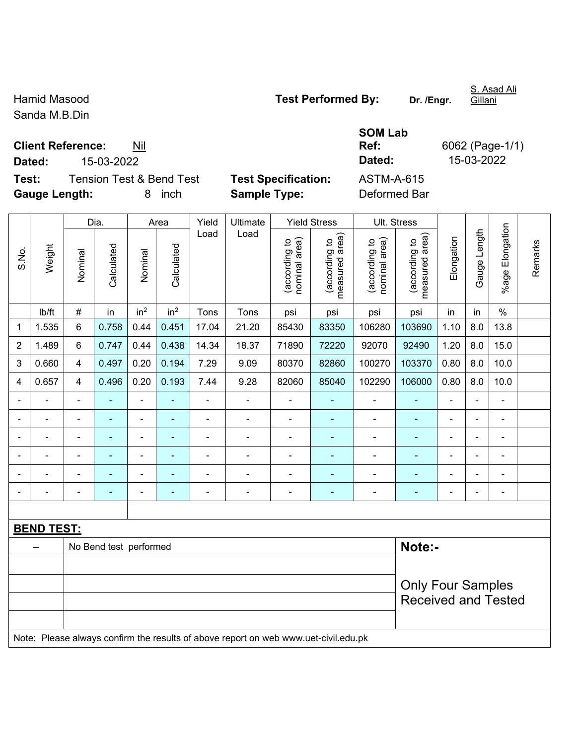Sanda M.B.Din

**Client Reference:** Nil

**Test:** Tension Test & Bend Test **Test Specification:** ASTM-A-615 **Gauge Length:** 8 inch **Sample Type:** Deformed Bar

|                          |                   |                          | Dia.                   |                          | Area                     | Yield          | Ultimate                                                                            |                               | <b>Yield Stress</b>             | Ult. Stress                    |                                 |                |                |                          |         |
|--------------------------|-------------------|--------------------------|------------------------|--------------------------|--------------------------|----------------|-------------------------------------------------------------------------------------|-------------------------------|---------------------------------|--------------------------------|---------------------------------|----------------|----------------|--------------------------|---------|
| S.No.                    | Weight            | Nominal                  | Calculated             | Nominal                  | Calculated               | Load           | Load                                                                                | nominal area)<br>according to | measured area)<br>(according to | (according to<br>nominal area) | measured area)<br>(according to | Elongation     | Gauge Length   | %age Elongation          | Remarks |
|                          | lb/ft             | $\#$                     | in                     | in <sup>2</sup>          | in <sup>2</sup>          | Tons           | Tons                                                                                | psi                           | psi                             | psi                            | psi                             | in             | in             | $\%$                     |         |
| 1                        | 1.535             | 6                        | 0.758                  | 0.44                     | 0.451                    | 17.04          | 21.20                                                                               | 85430                         | 83350                           | 106280                         | 103690                          | 1.10           | 8.0            | 13.8                     |         |
| $\overline{2}$           | 1.489             | $\,6\,$                  | 0.747                  | 0.44                     | 0.438                    | 14.34          | 18.37                                                                               | 71890                         | 72220                           | 92070                          | 92490                           | 1.20           | 8.0            | 15.0                     |         |
| 3                        | 0.660             | $\overline{\mathbf{4}}$  | 0.497                  | 0.20                     | 0.194                    | 7.29           | 9.09                                                                                | 80370                         | 82860                           | 100270                         | 103370                          | 0.80           | 8.0            | 10.0                     |         |
| 4                        | 0.657             | 4                        | 0.496                  | 0.20                     | 0.193                    | 7.44           | 9.28                                                                                | 82060                         | 85040                           | 102290                         | 106000                          | 0.80           | 8.0            | 10.0                     |         |
| $\overline{\phantom{0}}$ |                   | $\blacksquare$           |                        | $\blacksquare$           |                          | $\blacksquare$ | ä,                                                                                  | ä,                            | ٠                               | $\blacksquare$                 |                                 | ÷              | $\overline{a}$ | $\blacksquare$           |         |
|                          |                   | $\blacksquare$           | ÷,                     | ۰                        | $\blacksquare$           | ä,             | ÷,                                                                                  | $\blacksquare$                | $\blacksquare$                  | $\overline{\phantom{a}}$       |                                 | L,             | ä,             | $\overline{\phantom{a}}$ |         |
|                          |                   | $\blacksquare$           | $\blacksquare$         | $\overline{\phantom{a}}$ | $\overline{\phantom{a}}$ |                | ÷                                                                                   | ä,                            | ٠                               | $\overline{\phantom{a}}$       | $\overline{\phantom{0}}$        | $\blacksquare$ | $\blacksquare$ | $\blacksquare$           |         |
|                          |                   | $\blacksquare$           | $\blacksquare$         | $\overline{\phantom{0}}$ | $\overline{\phantom{a}}$ | $\blacksquare$ | ÷                                                                                   | ä,                            |                                 | $\blacksquare$                 | $\overline{\phantom{0}}$        | ÷,             | $\overline{a}$ | $\blacksquare$           |         |
|                          |                   |                          |                        | $\blacksquare$           |                          |                | ä,                                                                                  | $\blacksquare$                |                                 | $\blacksquare$                 |                                 | L,             |                |                          |         |
|                          |                   | $\blacksquare$           |                        |                          |                          |                | ÷                                                                                   |                               |                                 |                                |                                 | ä,             | $\blacksquare$ | $\blacksquare$           |         |
|                          |                   |                          |                        |                          |                          |                |                                                                                     |                               |                                 |                                |                                 |                |                |                          |         |
|                          | <b>BEND TEST:</b> |                          |                        |                          |                          |                |                                                                                     |                               |                                 |                                |                                 |                |                |                          |         |
|                          |                   |                          | No Bend test performed |                          |                          |                |                                                                                     |                               |                                 |                                | Note:-                          |                |                |                          |         |
|                          |                   |                          |                        |                          |                          |                |                                                                                     |                               |                                 |                                |                                 |                |                |                          |         |
|                          |                   | <b>Only Four Samples</b> |                        |                          |                          |                |                                                                                     |                               |                                 |                                |                                 |                |                |                          |         |
|                          |                   |                          |                        |                          |                          |                |                                                                                     |                               |                                 |                                | <b>Received and Tested</b>      |                |                |                          |         |
|                          |                   |                          |                        |                          |                          |                |                                                                                     |                               |                                 |                                |                                 |                |                |                          |         |
|                          |                   |                          |                        |                          |                          |                | Note: Please always confirm the results of above report on web www.uet-civil.edu.pk |                               |                                 |                                |                                 |                |                |                          |         |

Hamid Masood **Test Performed By:** Dr. /Engr.

**SOM Lab Ref:** 6062 (Page-1/1) **Dated:** 15-03-2022 **Dated:** 15-03-2022

S. Asad Ali Gillani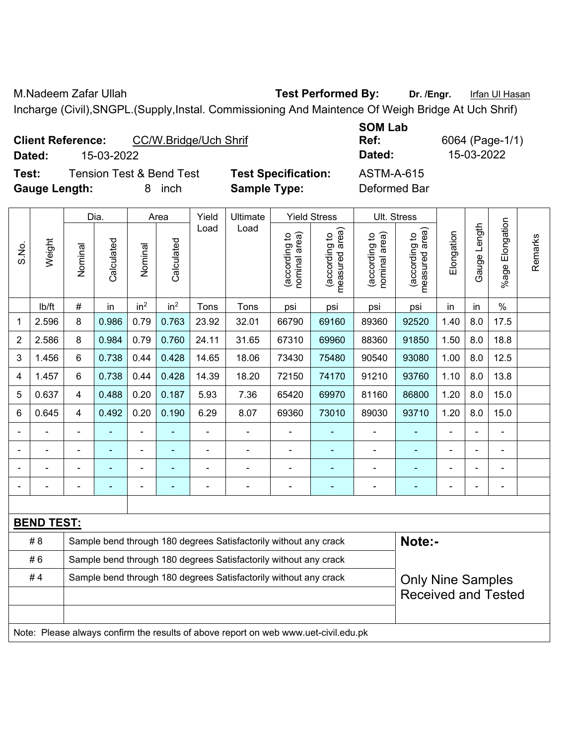M.Nadeem Zafar Ullah **Test Performed By:** Dr. /Engr. Infan Ul Hasan Incharge (Civil),SNGPL.(Supply,Instal. Commissioning And Maintence Of Weigh Bridge At Uch Shrif)

|        | <b>Client Reference:</b> |                          | CC/W.Bridge/Uch Shrif |  |  |  |  |
|--------|--------------------------|--------------------------|-----------------------|--|--|--|--|
| Dated: | 15-03-2022               |                          |                       |  |  |  |  |
| Test:  |                          | Tension Test & Bend Test | Test                  |  |  |  |  |

**Specification:** ASTM-A-615

**SOM Lab Ref:** 6064 (Page-1/1) **Dated:** 15-03-2022 **Dated:** 15-03-2022

**Gauge Length:** 8 inch **Sample Type:** Deformed Bar

|                |                   |                                                                            | Dia.           |                              | Area            | Yield          | Ultimate                                                         |                                | <b>Yield Stress</b>                         |                                | Ult. Stress                     |                |                          |                 |         |
|----------------|-------------------|----------------------------------------------------------------------------|----------------|------------------------------|-----------------|----------------|------------------------------------------------------------------|--------------------------------|---------------------------------------------|--------------------------------|---------------------------------|----------------|--------------------------|-----------------|---------|
| S.No.          | Weight            | Nominal                                                                    | Calculated     | Nominal                      | Calculated      | Load           | Load                                                             | nominal area)<br>(according to | (according to<br>neasured area)<br>measured | nominal area)<br>(according to | measured area)<br>(according to | Elongation     | Gauge Length             | %age Elongation | Remarks |
|                | Ib/ft             | #                                                                          | in             | in <sup>2</sup>              | in <sup>2</sup> | Tons           | Tons                                                             | psi                            | psi                                         | psi                            | psi                             | in             | in                       | $\frac{0}{0}$   |         |
| 1              | 2.596             | 8                                                                          | 0.986          | 0.79                         | 0.763           | 23.92          | 32.01                                                            | 66790                          | 69160                                       | 89360                          | 92520                           | 1.40           | 8.0                      | 17.5            |         |
| $\overline{2}$ | 2.586             | 8                                                                          | 0.984          | 0.79                         | 0.760           | 24.11          | 31.65                                                            | 67310                          | 69960                                       | 88360                          | 91850                           | 1.50           | 8.0                      | 18.8            |         |
| 3              | 1.456             | 6                                                                          | 0.738          | 0.44                         | 0.428           | 14.65          | 18.06                                                            | 73430                          | 75480                                       | 90540                          | 93080                           | 1.00           | 8.0                      | 12.5            |         |
| 4              | 1.457             | 6                                                                          | 0.738          | 0.44                         | 0.428           | 14.39          | 18.20                                                            | 72150                          | 74170                                       | 91210                          | 93760                           | 1.10           | 8.0                      | 13.8            |         |
| 5              | 0.637             | 4                                                                          | 0.488          | 0.20                         | 0.187           | 5.93           | 7.36                                                             | 65420                          | 69970                                       | 81160                          | 86800                           | 1.20           | 8.0                      | 15.0            |         |
| 6              | 0.645             | 4                                                                          | 0.492          | 0.20                         | 0.190           | 6.29           | 8.07                                                             | 69360                          | 73010                                       | 89030                          | 93710                           | 1.20           | 8.0                      | 15.0            |         |
|                |                   |                                                                            |                |                              |                 |                |                                                                  |                                |                                             |                                |                                 |                |                          |                 |         |
|                |                   | $\blacksquare$                                                             | $\blacksquare$ | $\overline{\phantom{a}}$     |                 | $\blacksquare$ | $\blacksquare$                                                   | $\blacksquare$                 | ۰                                           | $\blacksquare$                 | $\blacksquare$                  | $\blacksquare$ | $\blacksquare$           | ÷,              |         |
|                |                   | Ē,                                                                         | ۰              | $\blacksquare$               |                 | Ē,             | $\blacksquare$                                                   | $\blacksquare$                 | ٠                                           | $\blacksquare$                 | ٠                               |                | $\blacksquare$           | ÷,              |         |
| -              |                   | $\blacksquare$                                                             | ٠              | $\qquad \qquad \blacksquare$ | $\blacksquare$  | $\blacksquare$ | $\blacksquare$                                                   | $\blacksquare$                 | ۰                                           | ÷                              | ۰                               | $\blacksquare$ | $\overline{\phantom{a}}$ | ÷,              |         |
|                |                   |                                                                            |                |                              |                 |                |                                                                  |                                |                                             |                                |                                 |                |                          |                 |         |
|                | <b>BEND TEST:</b> |                                                                            |                |                              |                 |                |                                                                  |                                |                                             |                                |                                 |                |                          |                 |         |
|                | # 8               | Note:-<br>Sample bend through 180 degrees Satisfactorily without any crack |                |                              |                 |                |                                                                  |                                |                                             |                                |                                 |                |                          |                 |         |
|                | #6                |                                                                            |                |                              |                 |                | Sample bend through 180 degrees Satisfactorily without any crack |                                |                                             |                                |                                 |                |                          |                 |         |
|                | #4                |                                                                            |                |                              |                 |                | Sample bend through 180 degrees Satisfactorily without any crack |                                |                                             |                                | <b>Only Nine Samples</b>        |                |                          |                 |         |
|                |                   |                                                                            |                |                              |                 |                |                                                                  |                                |                                             |                                | <b>Received and Tested</b>      |                |                          |                 |         |
|                |                   |                                                                            |                |                              |                 |                |                                                                  |                                |                                             |                                |                                 |                |                          |                 |         |
|                |                   |                                                                            |                |                              |                 |                |                                                                  |                                |                                             |                                |                                 |                |                          |                 |         |

Note: Please always confirm the results of above report on web www.uet-civil.edu.pk